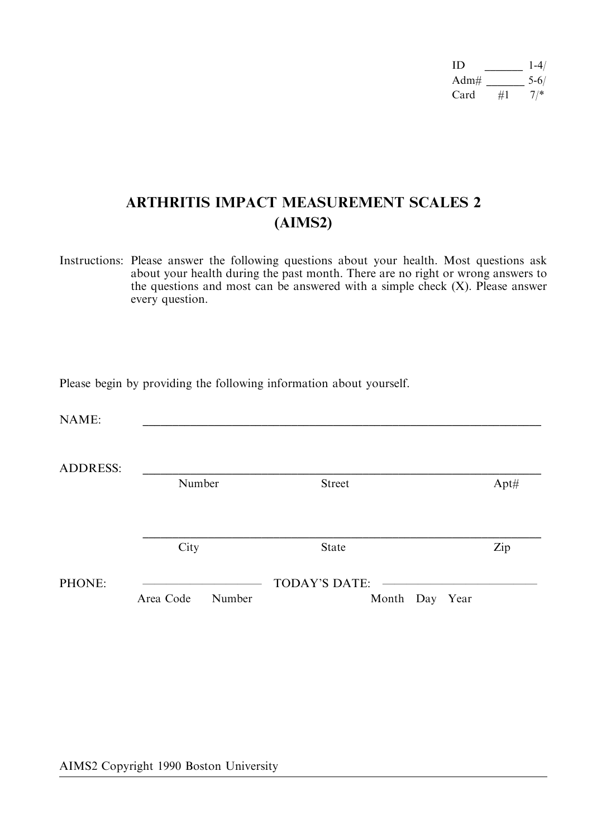| ID   |    | $1 - 4/$ |
|------|----|----------|
| Adm# |    | $5 - 6/$ |
| Card | #1 | $7^{*}$  |

# ARTHRITIS IMPACT MEASUREMENT SCALES 2 (AIMS2)

Instructions: Please answer the following questions about your health. Most questions ask about your health during the past month. There are no right or wrong answers to the questions and most can be answered with a simple check  $(X)$ . Please answer every question.

Please begin by providing the following information about yourself.

| NIA ME.<br>the contract of the contract of the contract of the contract of the contract of the contract of the contract of |  |  |  |
|----------------------------------------------------------------------------------------------------------------------------|--|--|--|
|                                                                                                                            |  |  |  |

|        | Number    |        | <b>Street</b>        |                | $Apt\#$ |
|--------|-----------|--------|----------------------|----------------|---------|
|        | City      |        | <b>State</b>         |                | Zip     |
| PHONE: |           |        | <b>TODAY'S DATE:</b> |                |         |
|        | Area Code | Number |                      | Month Day Year |         |

AIMS2 Copyright 1990 Boston University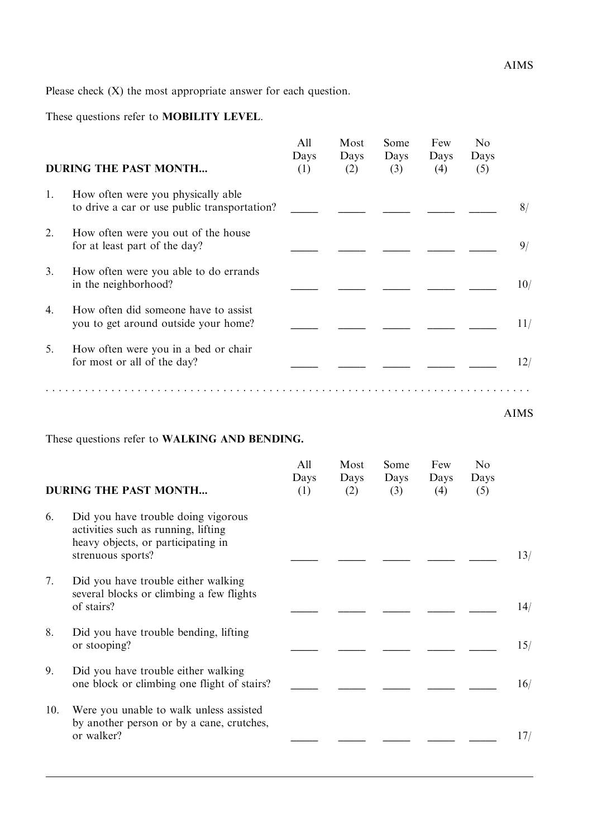These questions refer to MOBILITY LEVEL.

|    | <b>DURING THE PAST MONTH</b>                                                       | All<br>Days<br>(1) | Most<br>Days<br>(2) | Some<br>Days<br>(3) | Few<br>Days<br>(4) | No<br>Days<br>(5) |     |
|----|------------------------------------------------------------------------------------|--------------------|---------------------|---------------------|--------------------|-------------------|-----|
| 1. | How often were you physically able<br>to drive a car or use public transportation? |                    |                     |                     |                    |                   | 8/  |
| 2. | How often were you out of the house<br>for at least part of the day?               |                    |                     |                     |                    |                   | 9/  |
| 3. | How often were you able to do errands<br>in the neighborhood?                      |                    |                     |                     |                    |                   | 10/ |
| 4. | How often did someone have to assist<br>you to get around outside your home?       |                    |                     |                     |                    |                   | 11/ |
| 5. | How often were you in a bed or chair<br>for most or all of the day?                |                    |                     |                     |                    |                   | 12/ |
|    |                                                                                    |                    |                     |                     |                    |                   |     |

AIMS

These questions refer to WALKING AND BENDING.

|     | <b>DURING THE PAST MONTH</b>                                                                                                          | All<br>Days<br>(1) | Most<br>Days<br>(2) | Some<br>Days<br>(3) | Few<br>Days<br>(4) | N <sub>0</sub><br>Days<br>(5) |     |
|-----|---------------------------------------------------------------------------------------------------------------------------------------|--------------------|---------------------|---------------------|--------------------|-------------------------------|-----|
| 6.  | Did you have trouble doing vigorous<br>activities such as running, lifting<br>heavy objects, or participating in<br>strenuous sports? |                    |                     |                     |                    |                               | 13/ |
| 7.  | Did you have trouble either walking<br>several blocks or climbing a few flights<br>of stairs?                                         |                    |                     |                     |                    |                               | 14/ |
| 8.  | Did you have trouble bending, lifting<br>or stooping?                                                                                 |                    |                     |                     |                    |                               | 15/ |
| 9.  | Did you have trouble either walking<br>one block or climbing one flight of stairs?                                                    |                    |                     |                     |                    |                               | 16/ |
| 10. | Were you unable to walk unless assisted<br>by another person or by a cane, crutches,<br>or walker?                                    |                    |                     |                     |                    |                               | 17/ |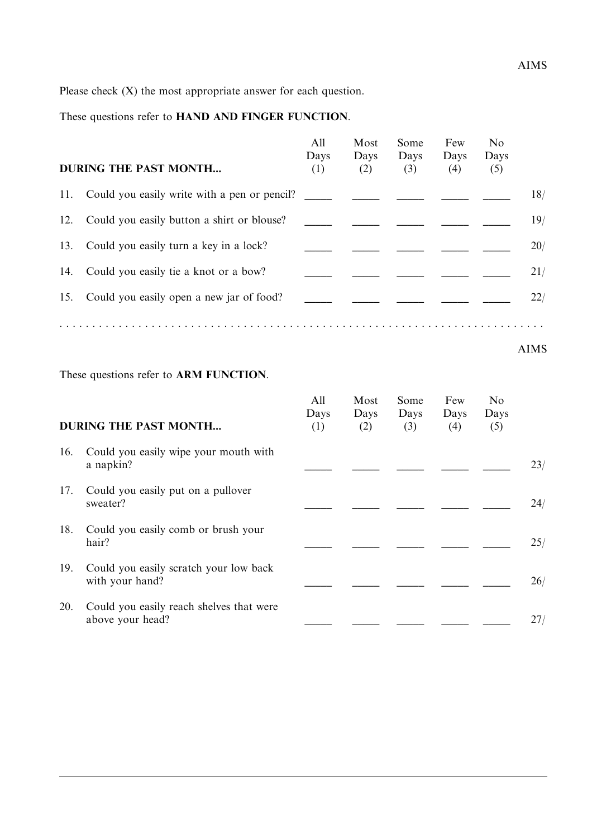These questions refer to HAND AND FINGER FUNCTION.

|     | <b>DURING THE PAST MONTH</b>                     | All<br>Days<br>(1) | Most<br>Days<br>(2) | Some<br>Days<br>(3) | Few<br>Days<br>(4) | N <sub>0</sub><br>Days<br>(5) |     |
|-----|--------------------------------------------------|--------------------|---------------------|---------------------|--------------------|-------------------------------|-----|
|     | 11. Could you easily write with a pen or pencil? |                    |                     |                     |                    |                               | 18/ |
| 12. | Could you easily button a shirt or blouse?       |                    |                     |                     |                    |                               | 19/ |
| 13. | Could you easily turn a key in a lock?           |                    |                     |                     |                    |                               | 20/ |
| 14. | Could you easily tie a knot or a bow?            |                    |                     |                     |                    |                               | 21/ |
|     | 15. Could you easily open a new jar of food?     |                    |                     |                     |                    |                               | 22/ |
|     |                                                  |                    |                     |                     |                    |                               |     |

AIMS

These questions refer to ARM FUNCTION.

|     | <b>DURING THE PAST MONTH</b>                                 | All<br>Days<br>(1) | Most<br>Days<br>(2) | Some<br>Days<br>(3) | Few<br>Days<br>(4) | N <sub>0</sub><br>Days<br>(5) |     |
|-----|--------------------------------------------------------------|--------------------|---------------------|---------------------|--------------------|-------------------------------|-----|
| 16. | Could you easily wipe your mouth with<br>a napkin?           |                    |                     |                     |                    |                               | 23/ |
| 17. | Could you easily put on a pullover<br>sweater?               |                    |                     |                     |                    |                               | 24/ |
| 18. | Could you easily comb or brush your<br>hair?                 |                    |                     |                     |                    |                               | 25/ |
| 19. | Could you easily scratch your low back<br>with your hand?    |                    |                     |                     |                    |                               | 26/ |
| 20. | Could you easily reach shelves that were<br>above your head? |                    |                     |                     |                    |                               | 27/ |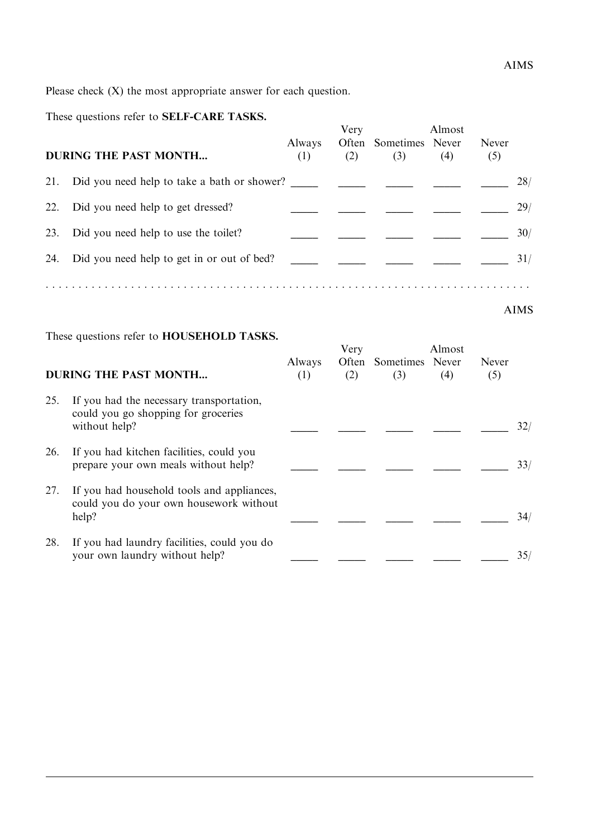#### These questions refer to SELF-CARE TASKS.

|     | <b>DURING THE PAST MONTH</b>               | Always<br>(1) | Very<br>(2) | Often Sometimes Never<br>(3) | Almost<br>(4) | Never<br>(5) |     |
|-----|--------------------------------------------|---------------|-------------|------------------------------|---------------|--------------|-----|
| 21. |                                            |               |             |                              |               |              | 28/ |
| 22. | Did you need help to get dressed?          |               |             |                              |               |              | 29/ |
| 23. | Did you need help to use the toilet?       |               |             |                              |               |              | 30/ |
| 24. | Did you need help to get in or out of bed? |               |             |                              |               |              | 31/ |
|     |                                            |               |             |                              |               |              |     |

AIMS

These questions refer to HOUSEHOLD TASKS.

|     | <b>DURING THE PAST MONTH</b>                                                                     | Always<br>(1) | Very<br>(2) | Often Sometimes Never<br>(3) | Almost<br>(4) | Never<br>(5) |     |
|-----|--------------------------------------------------------------------------------------------------|---------------|-------------|------------------------------|---------------|--------------|-----|
| 25. | If you had the necessary transportation,<br>could you go shopping for groceries<br>without help? |               |             |                              |               |              | 32/ |
| 26. | If you had kitchen facilities, could you<br>prepare your own meals without help?                 |               |             |                              |               |              | 33/ |
| 27. | If you had household tools and appliances,<br>could you do your own housework without<br>help?   |               |             |                              |               |              | 34/ |
| 28. | If you had laundry facilities, could you do<br>your own laundry without help?                    |               |             |                              |               |              | 35/ |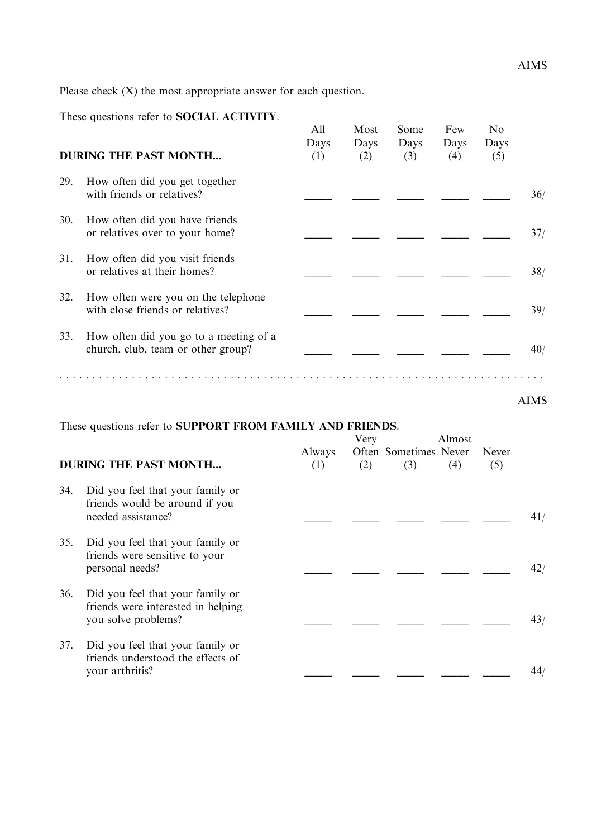These questions refer to SOCIAL ACTIVITY.

|     | These questions feler to <b>SOCIAL ACTIVITT.</b><br><b>DURING THE PAST MONTH</b> | All<br>Days<br>(1) | Most<br>Days<br>(2) | Some<br>Days<br>(3) | Few<br>Days<br>(4) | N <sub>0</sub><br>Days<br>(5) |      |
|-----|----------------------------------------------------------------------------------|--------------------|---------------------|---------------------|--------------------|-------------------------------|------|
| 29. | How often did you get together<br>with friends or relatives?                     |                    |                     |                     |                    |                               | 36/  |
| 30. | How often did you have friends<br>or relatives over to your home?                |                    |                     |                     |                    |                               | 37/  |
| 31. | How often did you visit friends<br>or relatives at their homes?                  |                    |                     |                     |                    |                               | 38/  |
| 32. | How often were you on the telephone<br>with close friends or relatives?          |                    |                     |                     |                    |                               | 39/  |
| 33. | How often did you go to a meeting of a<br>church, club, team or other group?     |                    |                     |                     |                    |                               | 40/  |
|     |                                                                                  |                    |                     |                     |                    |                               | AIMS |

### These questions refer to SUPPORT FROM FAMILY AND FRIENDS.

|     | <b>DURING THE PAST MONTH</b>                                                                  | <b>Always</b><br>(1) | Very<br>(2) | Often Sometimes Never<br>(3) | Almost<br>(4) | Never<br>(5) |     |
|-----|-----------------------------------------------------------------------------------------------|----------------------|-------------|------------------------------|---------------|--------------|-----|
| 34. | Did you feel that your family or<br>friends would be around if you<br>needed assistance?      |                      |             |                              |               |              | 41/ |
| 35. | Did you feel that your family or<br>friends were sensitive to your<br>personal needs?         |                      |             |                              |               |              | 42/ |
| 36. | Did you feel that your family or<br>friends were interested in helping<br>you solve problems? |                      |             |                              |               |              | 43/ |
| 37. | Did you feel that your family or<br>friends understood the effects of<br>your arthritis?      |                      |             |                              |               |              | 44  |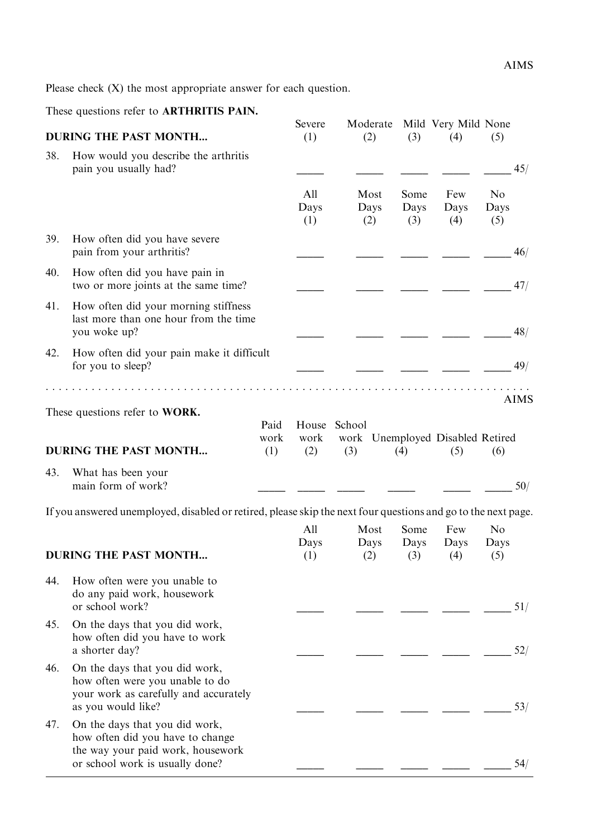These questions refer to ARTHRITIS PAIN.

|     | <b>DURING THE PAST MONTH</b>                                                                                                               |                     | Severe<br>(1)               | Moderate<br>(2)                         | (3)                 | Mild Very Mild None<br>(4) | (5)                           |             |
|-----|--------------------------------------------------------------------------------------------------------------------------------------------|---------------------|-----------------------------|-----------------------------------------|---------------------|----------------------------|-------------------------------|-------------|
| 38. | How would you describe the arthritis<br>pain you usually had?                                                                              |                     |                             |                                         |                     |                            |                               | 45/         |
|     |                                                                                                                                            |                     | All<br>Days<br>(1)          | Most<br>Days<br>(2)                     | Some<br>Days<br>(3) | Few<br>Days<br>(4)         | N <sub>o</sub><br>Days<br>(5) |             |
| 39. | How often did you have severe<br>pain from your arthritis?                                                                                 |                     |                             |                                         |                     |                            |                               | 46/         |
| 40. | How often did you have pain in<br>two or more joints at the same time?                                                                     |                     |                             |                                         |                     |                            |                               | 47/         |
| 41. | How often did your morning stiffness<br>last more than one hour from the time<br>you woke up?                                              |                     |                             |                                         |                     |                            |                               | 48/         |
| 42. | How often did your pain make it difficult<br>for you to sleep?                                                                             |                     |                             |                                         |                     |                            |                               | 49/         |
|     | These questions refer to WORK.<br><b>DURING THE PAST MONTH</b>                                                                             | Paid<br>work<br>(1) | House School<br>work<br>(2) | work Unemployed Disabled Retired<br>(3) | (4)                 | (5)                        | (6)                           | <b>AIMS</b> |
| 43. | What has been your<br>main form of work?                                                                                                   |                     |                             |                                         |                     |                            |                               | 50/         |
|     | If you answered unemployed, disabled or retired, please skip the next four questions and go to the next page.                              |                     |                             |                                         |                     |                            |                               |             |
|     | <b>DURING THE PAST MONTH</b>                                                                                                               |                     | All<br>Days<br>(1)          | Most<br>Days<br>(2)                     | Some<br>Days<br>(3) | Few<br>Days<br>(4)         | N <sub>0</sub><br>Days<br>(5) |             |
| 44. | How often were you unable to<br>do any paid work, housework<br>or school work?                                                             |                     |                             |                                         |                     |                            |                               | 51/         |
| 45. | On the days that you did work,<br>how often did you have to work<br>a shorter day?                                                         |                     |                             |                                         |                     |                            |                               | 52/         |
| 46. | On the days that you did work,<br>how often were you unable to do<br>your work as carefully and accurately<br>as you would like?           |                     |                             |                                         |                     |                            |                               | 53/         |
| 47. | On the days that you did work,<br>how often did you have to change<br>the way your paid work, housework<br>or school work is usually done? |                     |                             |                                         |                     |                            |                               | 54/         |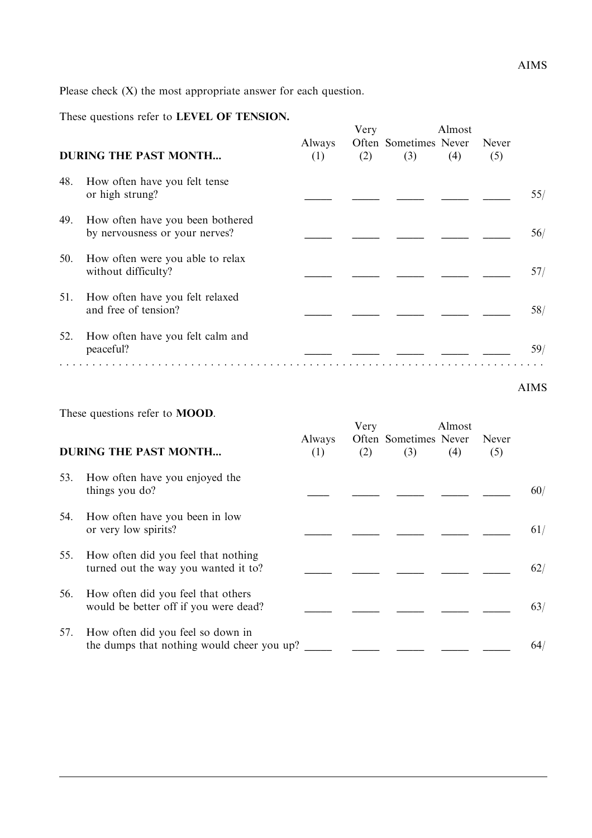These questions refer to LEVEL OF TENSION.

|     | <b>DURING THE PAST MONTH</b>                                       | Always<br>(1) | Very<br>(2) | Often Sometimes Never<br>(3) | Almost<br>(4) | Never<br>(5) |     |
|-----|--------------------------------------------------------------------|---------------|-------------|------------------------------|---------------|--------------|-----|
| 48. | How often have you felt tense<br>or high strung?                   |               |             |                              |               |              | 55/ |
| 49. | How often have you been bothered<br>by nervousness or your nerves? |               |             |                              |               |              | 56/ |
| 50. | How often were you able to relax<br>without difficulty?            |               |             |                              |               |              | 57/ |
| 51. | How often have you felt relaxed<br>and free of tension?            |               |             |                              |               |              | 58/ |
| 52. | How often have you felt calm and<br>peaceful?                      |               |             |                              |               |              | 59/ |

#### AIMS

These questions refer to MOOD.

|     |                                                                                 |               | Very |                              | Almost |              |     |
|-----|---------------------------------------------------------------------------------|---------------|------|------------------------------|--------|--------------|-----|
|     | <b>DURING THE PAST MONTH</b>                                                    | Always<br>(1) | (2)  | Often Sometimes Never<br>(3) | (4)    | Never<br>(5) |     |
| 53. | How often have you enjoyed the<br>things you do?                                |               |      |                              |        |              | 60/ |
| 54. | How often have you been in low<br>or very low spirits?                          |               |      |                              |        |              | 61/ |
| 55. | How often did you feel that nothing<br>turned out the way you wanted it to?     |               |      |                              |        |              | 62/ |
| 56. | How often did you feel that others<br>would be better off if you were dead?     |               |      |                              |        |              | 63/ |
| 57. | How often did you feel so down in<br>the dumps that nothing would cheer you up? |               |      |                              |        |              | 64/ |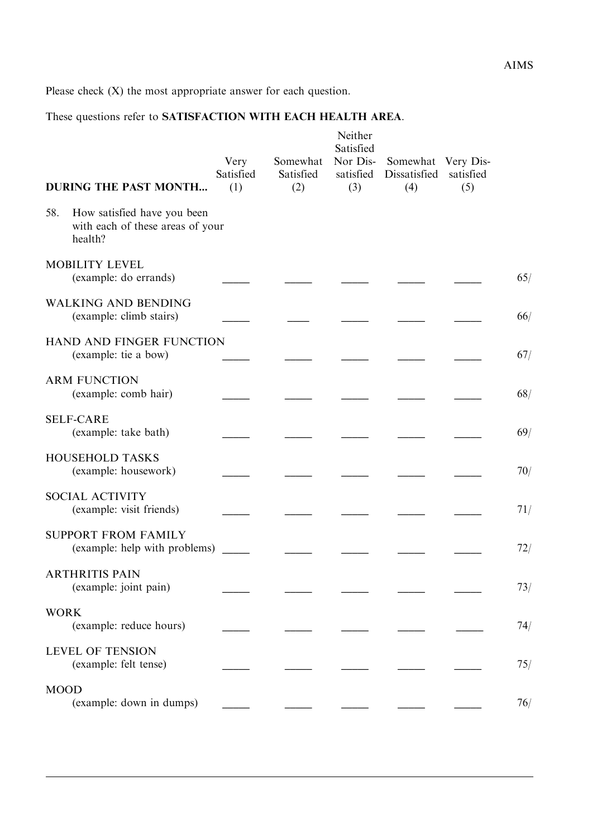## These questions refer to SATISFACTION WITH EACH HEALTH AREA.

| <b>DURING THE PAST MONTH</b>                                                      | Very<br>Satisfied<br>(1) | Somewhat<br>Satisfied<br>(2) | Neither<br>Satisfied<br>Nor Dis-<br>satisfied<br>(3) | Somewhat Very Dis-<br>Dissatisfied<br>(4) | satisfied<br>(5) |     |
|-----------------------------------------------------------------------------------|--------------------------|------------------------------|------------------------------------------------------|-------------------------------------------|------------------|-----|
| 58.<br>How satisfied have you been<br>with each of these areas of your<br>health? |                          |                              |                                                      |                                           |                  |     |
| <b>MOBILITY LEVEL</b><br>(example: do errands)                                    |                          |                              |                                                      |                                           |                  | 65/ |
| <b>WALKING AND BENDING</b><br>(example: climb stairs)                             |                          |                              |                                                      |                                           |                  | 66/ |
| HAND AND FINGER FUNCTION<br>(example: tie a bow)                                  |                          |                              |                                                      |                                           |                  | 67/ |
| <b>ARM FUNCTION</b><br>(example: comb hair)                                       |                          |                              |                                                      |                                           |                  | 68/ |
| <b>SELF-CARE</b><br>(example: take bath)                                          |                          |                              |                                                      |                                           |                  | 69/ |
| HOUSEHOLD TASKS<br>(example: housework)                                           |                          |                              |                                                      |                                           |                  | 70/ |
| <b>SOCIAL ACTIVITY</b><br>(example: visit friends)                                |                          |                              |                                                      |                                           |                  | 71/ |
| <b>SUPPORT FROM FAMILY</b><br>(example: help with problems)                       |                          |                              |                                                      |                                           |                  | 72/ |
| <b>ARTHRITIS PAIN</b><br>(example: joint pain)                                    |                          |                              |                                                      |                                           |                  | 73/ |
| <b>WORK</b><br>(example: reduce hours)                                            |                          |                              |                                                      |                                           |                  | 74/ |
| <b>LEVEL OF TENSION</b><br>(example: felt tense)                                  |                          |                              |                                                      |                                           |                  | 75/ |
| <b>MOOD</b><br>(example: down in dumps)                                           |                          |                              |                                                      |                                           |                  | 76/ |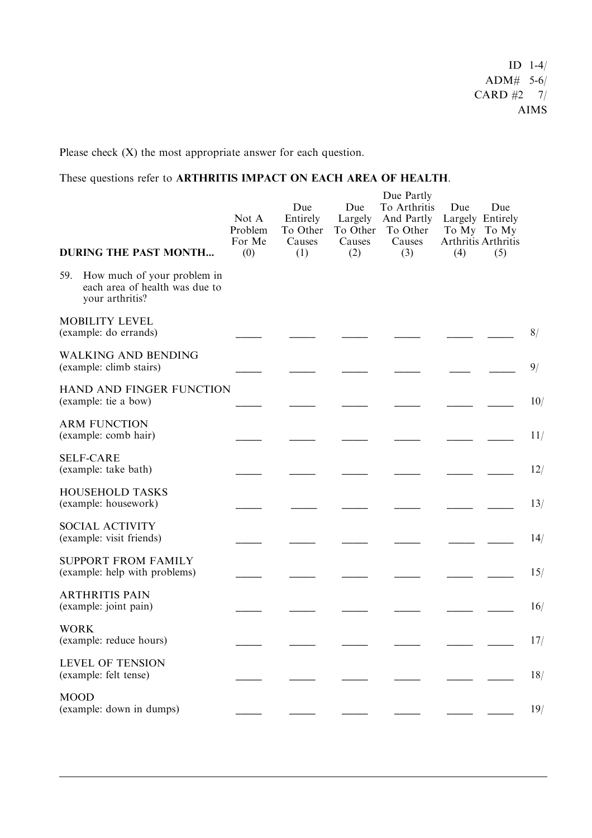These questions refer to ARTHRITIS IMPACT ON EACH AREA OF HEALTH.

| <b>DURING THE PAST MONTH</b>                                                            | Not A<br>Problem<br>For Me<br>(0) | Due<br>Entirely<br>To Other<br>Causes<br>(1) | Due<br>Largely<br>To Other<br>Causes<br>(2) | Due Partly<br>To Arthritis<br>And Partly<br>To Other<br>Causes<br>(3) | Due<br>Largely Entirely<br>To My To My<br>Arthritis Arthritis<br>(4) | Due<br>(5) |     |
|-----------------------------------------------------------------------------------------|-----------------------------------|----------------------------------------------|---------------------------------------------|-----------------------------------------------------------------------|----------------------------------------------------------------------|------------|-----|
| How much of your problem in<br>59.<br>each area of health was due to<br>your arthritis? |                                   |                                              |                                             |                                                                       |                                                                      |            |     |
| <b>MOBILITY LEVEL</b><br>(example: do errands)                                          |                                   |                                              |                                             |                                                                       |                                                                      |            | 8/  |
| <b>WALKING AND BENDING</b><br>(example: climb stairs)                                   |                                   |                                              |                                             |                                                                       |                                                                      |            | 9/  |
| HAND AND FINGER FUNCTION<br>(example: tie a bow)                                        |                                   |                                              |                                             |                                                                       |                                                                      |            | 10/ |
| <b>ARM FUNCTION</b><br>(example: comb hair)                                             |                                   |                                              |                                             |                                                                       |                                                                      |            | 11/ |
| <b>SELF-CARE</b><br>(example: take bath)                                                |                                   |                                              |                                             |                                                                       |                                                                      |            | 12/ |
| <b>HOUSEHOLD TASKS</b><br>(example: housework)                                          |                                   |                                              |                                             |                                                                       |                                                                      |            | 13/ |
| <b>SOCIAL ACTIVITY</b><br>(example: visit friends)                                      |                                   |                                              |                                             |                                                                       |                                                                      |            | 14/ |
| <b>SUPPORT FROM FAMILY</b><br>(example: help with problems)                             |                                   |                                              |                                             |                                                                       |                                                                      |            | 15/ |
| <b>ARTHRITIS PAIN</b><br>(example: joint pain)                                          |                                   |                                              |                                             |                                                                       |                                                                      |            | 16/ |
| <b>WORK</b><br>(example: reduce hours)                                                  |                                   |                                              |                                             |                                                                       |                                                                      |            | 17/ |
| <b>LEVEL OF TENSION</b><br>(example: felt tense)                                        |                                   |                                              |                                             |                                                                       |                                                                      |            | 18/ |
| <b>MOOD</b><br>(example: down in dumps)                                                 |                                   |                                              |                                             |                                                                       |                                                                      |            | 19/ |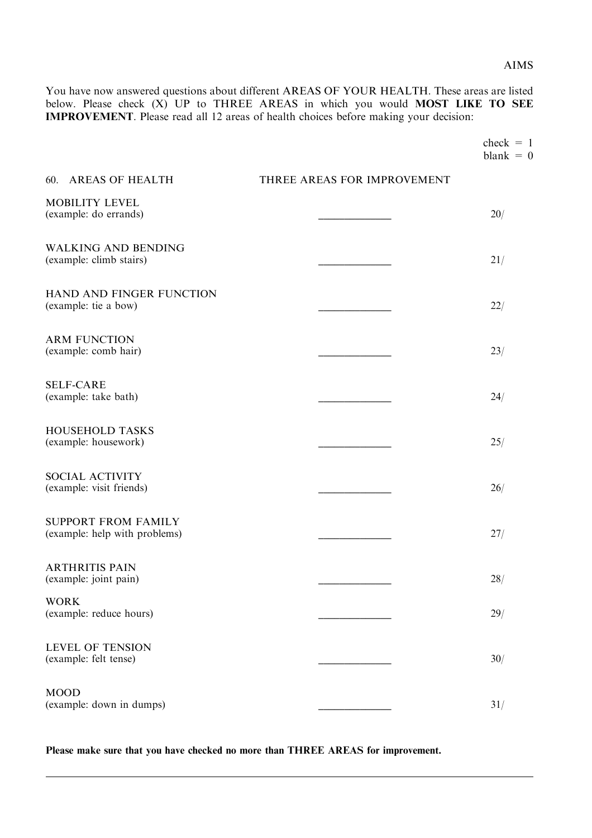AIMS

You have now answered questions about different AREAS OF YOUR HEALTH. These areas are listed below. Please check  $(X)$  UP to THREE AREAS in which you would MOST LIKE TO SEE IMPROVEMENT. Please read all 12 areas of health choices before making your decision:

| check |          |
|-------|----------|
| blank | $\Omega$ |

| 60. AREAS OF HEALTH                                         | THREE AREAS FOR IMPROVEMENT |     |
|-------------------------------------------------------------|-----------------------------|-----|
| <b>MOBILITY LEVEL</b><br>(example: do errands)              |                             | 20/ |
| <b>WALKING AND BENDING</b><br>(example: climb stairs)       |                             | 21/ |
| HAND AND FINGER FUNCTION<br>(example: tie a bow)            |                             | 22/ |
| <b>ARM FUNCTION</b><br>(example: comb hair)                 |                             | 23/ |
| <b>SELF-CARE</b><br>(example: take bath)                    |                             | 24/ |
| <b>HOUSEHOLD TASKS</b><br>(example: housework)              |                             | 25/ |
| SOCIAL ACTIVITY<br>(example: visit friends)                 |                             | 26/ |
| <b>SUPPORT FROM FAMILY</b><br>(example: help with problems) |                             | 27/ |
| <b>ARTHRITIS PAIN</b><br>(example: joint pain)              |                             | 28/ |
| <b>WORK</b><br>(example: reduce hours)                      |                             | 29/ |
| LEVEL OF TENSION<br>(example: felt tense)                   |                             | 30/ |
| <b>MOOD</b><br>(example: down in dumps)                     |                             | 31/ |

Please make sure that you have checked no more than THREE AREAS for improvement.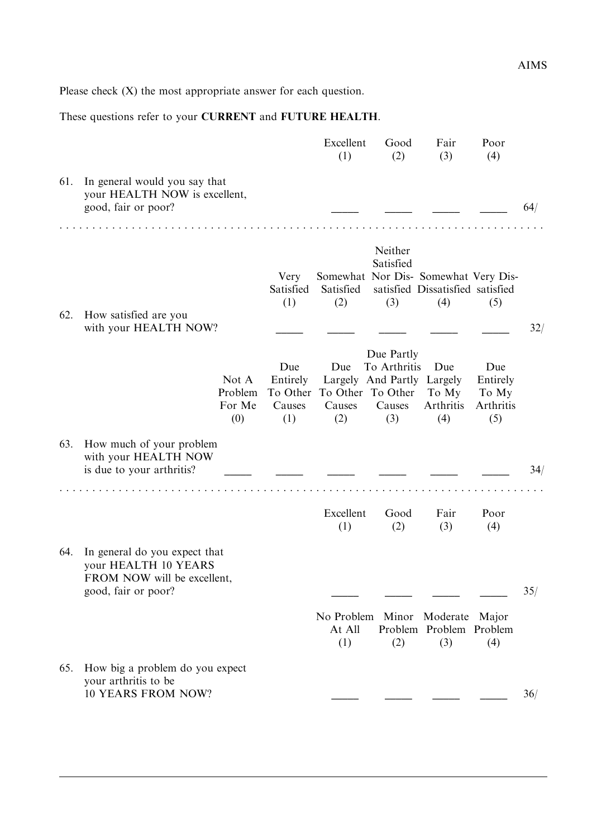These questions refer to your CURRENT and FUTURE HEALTH.

|     |                                                                                                             |                                                                       | Excellent<br>(1)                                   | Good<br>(2)                                                               | Fair<br>(3)                                                                     | Poor<br>(4)                                  |     |
|-----|-------------------------------------------------------------------------------------------------------------|-----------------------------------------------------------------------|----------------------------------------------------|---------------------------------------------------------------------------|---------------------------------------------------------------------------------|----------------------------------------------|-----|
| 61. | In general would you say that<br>your HEALTH NOW is excellent,<br>good, fair or poor?                       |                                                                       |                                                    |                                                                           |                                                                                 |                                              | 64/ |
| 62. | How satisfied are you<br>with your HEALTH NOW?                                                              | Very<br>Satisfied<br>(1)                                              | Satisfied<br>(2)                                   | Neither<br>Satisfied<br>(3)                                               | Somewhat Nor Dis- Somewhat Very Dis-<br>satisfied Dissatisfied satisfied<br>(4) | (5)                                          | 32/ |
|     |                                                                                                             | Due<br>Not A<br>Entirely<br>Problem<br>For Me<br>Causes<br>(0)<br>(1) | Due<br>To Other To Other To Other<br>Causes<br>(2) | Due Partly<br>To Arthritis<br>Largely And Partly Largely<br>Causes<br>(3) | Due<br>To My<br>Arthritis<br>(4)                                                | Due<br>Entirely<br>To My<br>Arthritis<br>(5) |     |
| 63. | How much of your problem<br>with your HEALTH NOW<br>is due to your arthritis?                               |                                                                       |                                                    |                                                                           |                                                                                 |                                              | 34/ |
|     |                                                                                                             |                                                                       | Excellent<br>(1)                                   | Good<br>(2)                                                               | Fair<br>(3)                                                                     | Poor<br>(4)                                  |     |
| 64. | In general do you expect that<br>your HEALTH 10 YEARS<br>FROM NOW will be excellent,<br>good, fair or poor? |                                                                       |                                                    |                                                                           |                                                                                 |                                              | 35/ |
|     |                                                                                                             |                                                                       | At All<br>(1)                                      | (2)                                                                       | No Problem Minor Moderate Major<br>Problem Problem Problem<br>(3)               | (4)                                          |     |
| 65. | How big a problem do you expect<br>your arthritis to be<br><b>10 YEARS FROM NOW?</b>                        |                                                                       |                                                    |                                                                           |                                                                                 |                                              | 36/ |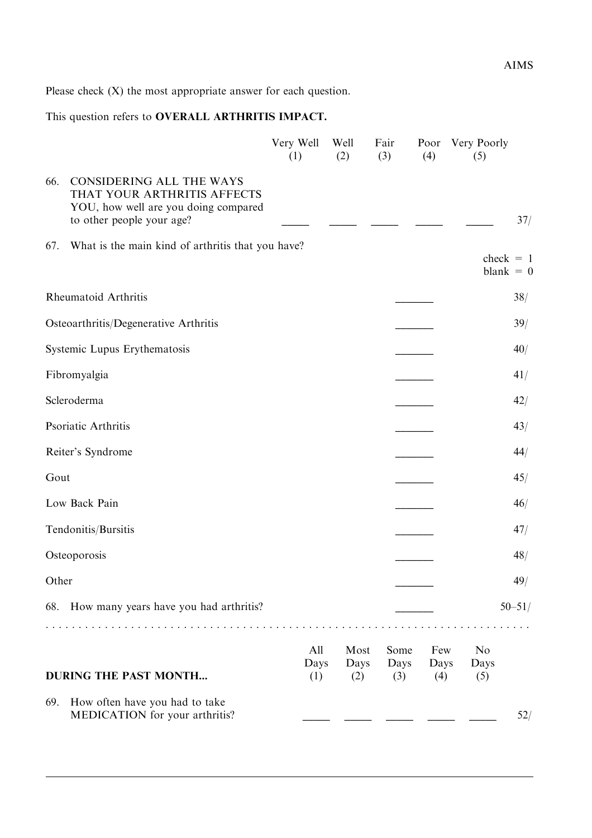## This question refers to OVERALL ARTHRITIS IMPACT.

|       |                                                                                                                                     | Very Well<br>(1)   | Well<br>(2)         | Fair<br>(3)         | Poor<br>(4)        | Very Poorly<br>(5)            |            |
|-------|-------------------------------------------------------------------------------------------------------------------------------------|--------------------|---------------------|---------------------|--------------------|-------------------------------|------------|
| 66.   | <b>CONSIDERING ALL THE WAYS</b><br>THAT YOUR ARTHRITIS AFFECTS<br>YOU, how well are you doing compared<br>to other people your age? |                    |                     |                     |                    |                               | 37/        |
| 67.   | What is the main kind of arthritis that you have?                                                                                   |                    |                     |                     |                    | $check = 1$<br>blank $= 0$    |            |
|       | Rheumatoid Arthritis                                                                                                                |                    |                     |                     |                    |                               | 38/        |
|       | Osteoarthritis/Degenerative Arthritis                                                                                               |                    |                     |                     |                    |                               | 39/        |
|       | Systemic Lupus Erythematosis                                                                                                        |                    |                     |                     |                    |                               | 40/        |
|       | Fibromyalgia                                                                                                                        |                    |                     |                     |                    |                               | 41/        |
|       | Scleroderma                                                                                                                         |                    |                     |                     |                    |                               | 42/        |
|       | Psoriatic Arthritis                                                                                                                 |                    |                     |                     |                    |                               | 43/        |
|       | Reiter's Syndrome                                                                                                                   |                    |                     |                     |                    |                               | 44/        |
| Gout  |                                                                                                                                     |                    |                     |                     |                    |                               | 45/        |
|       | Low Back Pain                                                                                                                       |                    |                     |                     |                    |                               | 46/        |
|       | Tendonitis/Bursitis                                                                                                                 |                    |                     |                     |                    |                               | 47/        |
|       | Osteoporosis                                                                                                                        |                    |                     |                     |                    |                               | 48/        |
| Other |                                                                                                                                     |                    |                     |                     |                    |                               | 49/        |
|       | 68. How many years have you had arthritis?                                                                                          |                    |                     |                     |                    |                               | $50 - 51/$ |
|       |                                                                                                                                     |                    |                     |                     |                    |                               |            |
|       | <b>DURING THE PAST MONTH</b>                                                                                                        | All<br>Days<br>(1) | Most<br>Days<br>(2) | Some<br>Days<br>(3) | Few<br>Days<br>(4) | N <sub>0</sub><br>Days<br>(5) |            |
| 69.   | How often have you had to take<br>MEDICATION for your arthritis?                                                                    |                    |                     |                     |                    |                               | 52/        |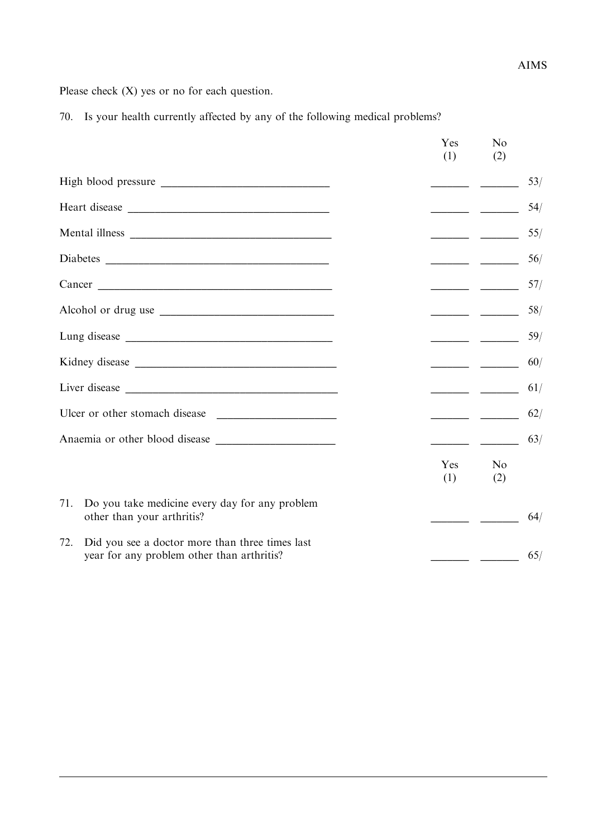Please check (X) yes or no for each question.

70. Is your health currently affected by any of the following medical problems?

|                                                                                                      | Yes<br>(1)                                                                                                                                                                                                                                                                                                                                                                                                                                                                      | N <sub>0</sub><br>(2)                                                                                                                                                                                                                                                                                                                                                                                                                                                                            |
|------------------------------------------------------------------------------------------------------|---------------------------------------------------------------------------------------------------------------------------------------------------------------------------------------------------------------------------------------------------------------------------------------------------------------------------------------------------------------------------------------------------------------------------------------------------------------------------------|--------------------------------------------------------------------------------------------------------------------------------------------------------------------------------------------------------------------------------------------------------------------------------------------------------------------------------------------------------------------------------------------------------------------------------------------------------------------------------------------------|
|                                                                                                      |                                                                                                                                                                                                                                                                                                                                                                                                                                                                                 |                                                                                                                                                                                                                                                                                                                                                                                                                                                                                                  |
|                                                                                                      | $\overline{\phantom{a}}$ $\overline{\phantom{a}}$ $\overline{\phantom{a}}$ $\overline{\phantom{a}}$ $\overline{\phantom{a}}$ $\overline{\phantom{a}}$ $\overline{\phantom{a}}$ $\overline{\phantom{a}}$ $\overline{\phantom{a}}$ $\overline{\phantom{a}}$ $\overline{\phantom{a}}$ $\overline{\phantom{a}}$ $\overline{\phantom{a}}$ $\overline{\phantom{a}}$ $\overline{\phantom{a}}$ $\overline{\phantom{a}}$ $\overline{\phantom{a}}$ $\overline{\phantom{a}}$ $\overline{\$ |                                                                                                                                                                                                                                                                                                                                                                                                                                                                                                  |
|                                                                                                      |                                                                                                                                                                                                                                                                                                                                                                                                                                                                                 |                                                                                                                                                                                                                                                                                                                                                                                                                                                                                                  |
|                                                                                                      |                                                                                                                                                                                                                                                                                                                                                                                                                                                                                 |                                                                                                                                                                                                                                                                                                                                                                                                                                                                                                  |
| Cancer                                                                                               |                                                                                                                                                                                                                                                                                                                                                                                                                                                                                 |                                                                                                                                                                                                                                                                                                                                                                                                                                                                                                  |
|                                                                                                      |                                                                                                                                                                                                                                                                                                                                                                                                                                                                                 | $\begin{tabular}{ll} \multicolumn{3}{c} {\textbf{1}} & \multicolumn{3}{c} {\textbf{2}} & \multicolumn{3}{c} {\textbf{3}} & \multicolumn{3}{c} {\textbf{4}} & \multicolumn{3}{c} {\textbf{5}} & \multicolumn{3}{c} {\textbf{6}} & \multicolumn{3}{c} {\textbf{6}} & \multicolumn{3}{c} {\textbf{7}} \\ \multicolumn{3}{c} {\textbf{1}} & \multicolumn{3}{c} {\textbf{1}} & \multicolumn{3}{c} {\textbf{1}} & \multicolumn{3}{c} {\textbf{1}} & \multicolumn{3}{c} {\textbf{1}} & \multicolumn$    |
|                                                                                                      |                                                                                                                                                                                                                                                                                                                                                                                                                                                                                 | $\begin{tabular}{ll} \multicolumn{3}{c} {\textbf{1}} & \multicolumn{3}{c} {\textbf{2}} & \multicolumn{3}{c} {\textbf{3}} & \multicolumn{3}{c} {\textbf{4}} & \multicolumn{3}{c} {\textbf{5}} & \multicolumn{3}{c} {\textbf{6}} & \multicolumn{3}{c} {\textbf{6}} & \multicolumn{3}{c} {\textbf{7}} \\ \multicolumn{3}{c} {\textbf{1}} & \multicolumn{3}{c} {\textbf{1}} & \multicolumn{3}{c} {\textbf{1}} & \multicolumn{3}{c} {\textbf{1}} & \multicolumn{3}{c} {\textbf{1}} & \multicolumn$    |
|                                                                                                      |                                                                                                                                                                                                                                                                                                                                                                                                                                                                                 | 60/<br>$\begin{tabular}{ll} \multicolumn{1}{l}{} & \multicolumn{1}{l}{} & \multicolumn{1}{l}{} \\ \multicolumn{1}{l}{} & \multicolumn{1}{l}{} & \multicolumn{1}{l}{} \\ \multicolumn{1}{l}{} & \multicolumn{1}{l}{} & \multicolumn{1}{l}{} \\ \multicolumn{1}{l}{} & \multicolumn{1}{l}{} & \multicolumn{1}{l}{} \\ \multicolumn{1}{l}{} & \multicolumn{1}{l}{} \\ \multicolumn{1}{l}{} & \multicolumn{1}{l}{} \\ \multicolumn{1}{l}{} & \multicolumn{1}{l}{} \\ \multicolumn{1}{l}{} & \multic$ |
|                                                                                                      |                                                                                                                                                                                                                                                                                                                                                                                                                                                                                 | 61/                                                                                                                                                                                                                                                                                                                                                                                                                                                                                              |
|                                                                                                      |                                                                                                                                                                                                                                                                                                                                                                                                                                                                                 | 62/                                                                                                                                                                                                                                                                                                                                                                                                                                                                                              |
|                                                                                                      |                                                                                                                                                                                                                                                                                                                                                                                                                                                                                 | 63/                                                                                                                                                                                                                                                                                                                                                                                                                                                                                              |
|                                                                                                      | Yes<br>(1)                                                                                                                                                                                                                                                                                                                                                                                                                                                                      | N <sub>0</sub><br>(2)                                                                                                                                                                                                                                                                                                                                                                                                                                                                            |
| Do you take medicine every day for any problem<br>71.<br>other than your arthritis?                  |                                                                                                                                                                                                                                                                                                                                                                                                                                                                                 |                                                                                                                                                                                                                                                                                                                                                                                                                                                                                                  |
| Did you see a doctor more than three times last<br>72.<br>year for any problem other than arthritis? |                                                                                                                                                                                                                                                                                                                                                                                                                                                                                 | 65/                                                                                                                                                                                                                                                                                                                                                                                                                                                                                              |